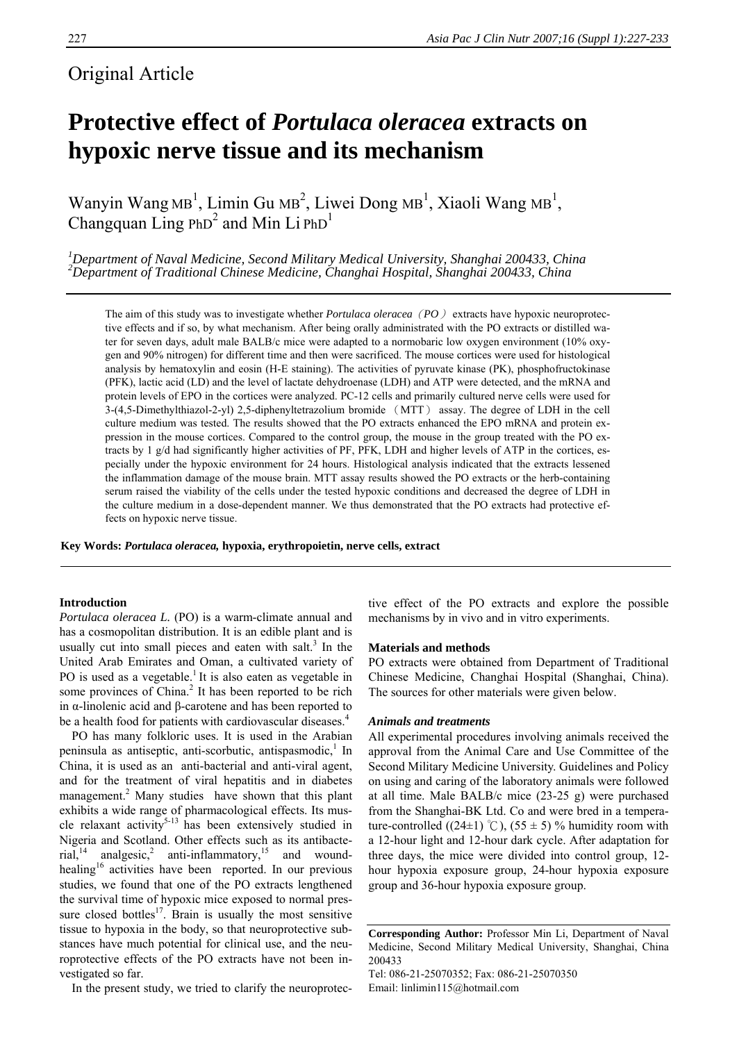# Original Article

# **Protective effect of** *Portulaca oleracea* **extracts on hypoxic nerve tissue and its mechanism**

Wanyin Wang  $MB<sup>1</sup>$ , Limin Gu  $MB<sup>2</sup>$ , Liwei Dong  $MB<sup>1</sup>$ , Xiaoli Wang  $MB<sup>1</sup>$ , Changquan Ling  $PhD<sup>2</sup>$  and Min Li  $PhD<sup>1</sup>$ 

<sup>1</sup> Department of Naval Medicine, Second Military Medical University, Shanghai 200433, China <sup>2</sup><br><sup>2</sup> Department of Traditional Chinese Medicine, Changhai Hespital, Shanghai 200433, China *Department of Traditional Chinese Medicine, Changhai Hospital, Shanghai 200433, China*

The aim of this study was to investigate whether *Portulaca oleracea*(*PO*) extracts have hypoxic neuroprotective effects and if so, by what mechanism. After being orally administrated with the PO extracts or distilled water for seven days, adult male BALB/c mice were adapted to a normobaric low oxygen environment (10% oxygen and 90% nitrogen) for different time and then were sacrificed. The mouse cortices were used for histological analysis by hematoxylin and eosin (H-E staining). The activities of pyruvate kinase (PK), phosphofructokinase (PFK), lactic acid (LD) and the level of lactate dehydroenase (LDH) and ATP were detected, and the mRNA and protein levels of EPO in the cortices were analyzed. PC-12 cells and primarily cultured nerve cells were used for 3-(4,5-Dimethylthiazol-2-yl) 2,5-diphenyltetrazolium bromide (MTT) assay. The degree of LDH in the cell culture medium was tested. The results showed that the PO extracts enhanced the EPO mRNA and protein expression in the mouse cortices. Compared to the control group, the mouse in the group treated with the PO extracts by 1 g/d had significantly higher activities of PF, PFK, LDH and higher levels of ATP in the cortices, especially under the hypoxic environment for 24 hours. Histological analysis indicated that the extracts lessened the inflammation damage of the mouse brain. MTT assay results showed the PO extracts or the herb-containing serum raised the viability of the cells under the tested hypoxic conditions and decreased the degree of LDH in the culture medium in a dose-dependent manner. We thus demonstrated that the PO extracts had protective effects on hypoxic nerve tissue.

**Key Words:** *Portulaca oleracea,* **hypoxia, erythropoietin, nerve cells, extract** 

# **Introduction**

*Portulaca oleracea L. (PO)* is a warm-climate annual and has a cosmopolitan distribution. It is an edible plant and is usually cut into small pieces and eaten with salt. $3$  In the United Arab Emirates and Oman, a cultivated variety of PO is used as a vegetable.<sup>1</sup> It is also eaten as vegetable in some provinces of China.<sup>2</sup> It has been reported to be rich in α-linolenic acid and β-carotene and has been reported to be a health food for patients with cardiovascular diseases.<sup>4</sup>

PO has many folkloric uses. It is used in the Arabian peninsula as antiseptic, anti-scorbutic, antispasmodic,<sup>1</sup> In China, it is used as an anti-bacterial and anti-viral agent, and for the treatment of viral hepatitis and in diabetes management.<sup>2</sup> Many studies have shown that this plant exhibits a wide range of pharmacological effects. Its muscle relaxant activity<sup>5-13</sup> has been extensively studied in Nigeria and Scotland. Other effects such as its antibacterial,<sup>14</sup> analgesic,<sup>2</sup> anti-inflammatory,<sup>15</sup> and woundhealing<sup>16</sup> activities have been reported. In our previous studies, we found that one of the PO extracts lengthened the survival time of hypoxic mice exposed to normal pressure closed bottles<sup>17</sup>. Brain is usually the most sensitive tissue to hypoxia in the body, so that neuroprotective substances have much potential for clinical use, and the neuroprotective effects of the PO extracts have not been investigated so far.

In the present study, we tried to clarify the neuroprotec-

tive effect of the PO extracts and explore the possible mechanisms by in vivo and in vitro experiments.

#### **Materials and methods**

PO extracts were obtained from Department of Traditional Chinese Medicine, Changhai Hospital (Shanghai, China). The sources for other materials were given below.

#### *Animals and treatments*

All experimental procedures involving animals received the approval from the Animal Care and Use Committee of the Second Military Medicine University. Guidelines and Policy on using and caring of the laboratory animals were followed at all time. Male BALB/c mice (23-25 g) were purchased from the Shanghai-BK Ltd. Co and were bred in a temperature-controlled ((24±1) °C), (55 ± 5) % humidity room with a 12-hour light and 12-hour dark cycle. After adaptation for three days, the mice were divided into control group, 12 hour hypoxia exposure group, 24-hour hypoxia exposure group and 36-hour hypoxia exposure group.

**Corresponding Author:** Professor Min Li, Department of Naval Medicine, Second Military Medical University, Shanghai, China 200433

Tel: 086-21-25070352; Fax: 086-21-25070350 Email: linlimin115@hotmail.com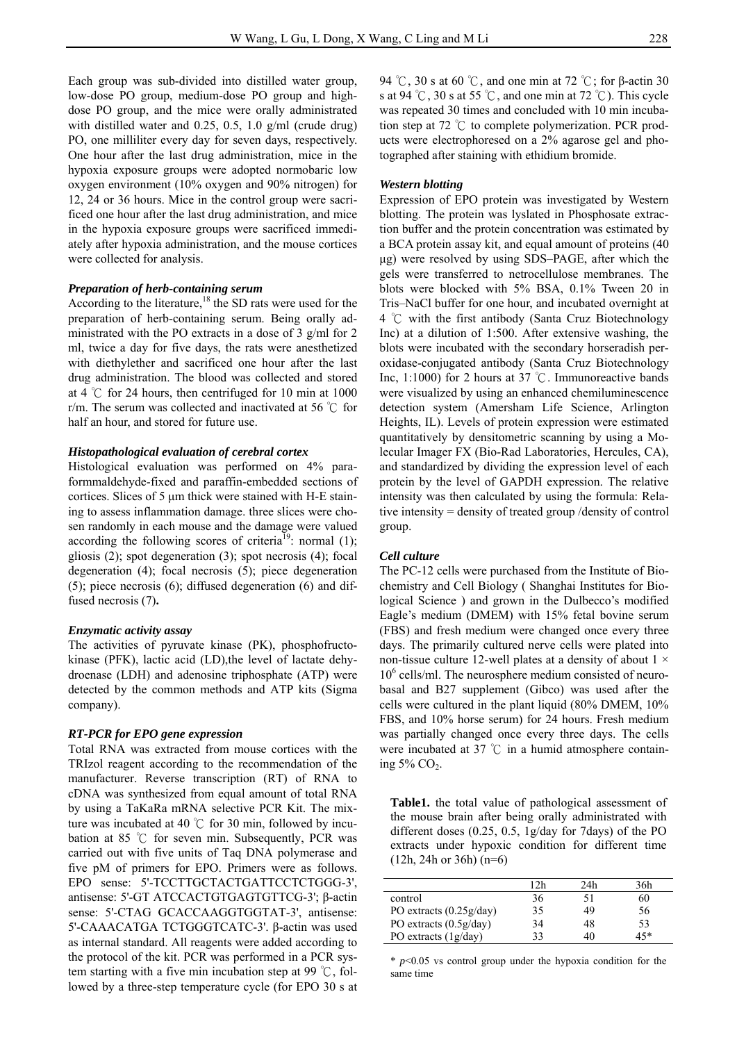Each group was sub-divided into distilled water group, low-dose PO group, medium-dose PO group and highdose PO group, and the mice were orally administrated with distilled water and 0.25, 0.5, 1.0 g/ml (crude drug) PO, one milliliter every day for seven days, respectively. One hour after the last drug administration, mice in the hypoxia exposure groups were adopted normobaric low oxygen environment (10% oxygen and 90% nitrogen) for 12, 24 or 36 hours. Mice in the control group were sacrificed one hour after the last drug administration, and mice in the hypoxia exposure groups were sacrificed immediately after hypoxia administration, and the mouse cortices were collected for analysis.

#### *Preparation of herb-containing serum*

According to the literature, $18$  the SD rats were used for the preparation of herb-containing serum. Being orally administrated with the PO extracts in a dose of 3 g/ml for 2 ml, twice a day for five days, the rats were anesthetized with diethylether and sacrificed one hour after the last drug administration. The blood was collected and stored at 4  $\degree$ C for 24 hours, then centrifuged for 10 min at 1000 r/m. The serum was collected and inactivated at 56 ℃ for half an hour, and stored for future use.

#### *Histopathological evaluation of cerebral cortex*

Histological evaluation was performed on 4% paraformmaldehyde-fixed and paraffin-embedded sections of cortices. Slices of 5 μm thick were stained with H-E staining to assess inflammation damage. three slices were chosen randomly in each mouse and the damage were valued according the following scores of criteria<sup>19</sup>: normal  $(1)$ ; gliosis (2); spot degeneration (3); spot necrosis (4); focal degeneration (4); focal necrosis (5); piece degeneration (5); piece necrosis (6); diffused degeneration (6) and diffused necrosis (7)**.** 

#### *Enzymatic activity assay*

The activities of pyruvate kinase (PK), phosphofructokinase (PFK), lactic acid (LD),the level of lactate dehydroenase (LDH) and adenosine triphosphate (ATP) were detected by the common methods and ATP kits (Sigma company).

#### *RT-PCR for EPO gene expression*

Total RNA was extracted from mouse cortices with the TRIzol reagent according to the recommendation of the manufacturer. Reverse transcription (RT) of RNA to cDNA was synthesized from equal amount of total RNA by using a TaKaRa mRNA selective PCR Kit. The mixture was incubated at 40 ℃ for 30 min, followed by incubation at 85 ℃ for seven min. Subsequently, PCR was carried out with five units of Taq DNA polymerase and five pM of primers for EPO. Primers were as follows. EPO sense: 5'-TCCTTGCTACTGATTCCTCTGGG-3', antisense: 5'-GT ATCCACTGTGAGTGTTCG-3'; β-actin sense: 5'-CTAG GCACCAAGGTGGTAT-3', antisense: 5'-CAAACATGA TCTGGGTCATC-3'. β-actin was used as internal standard. All reagents were added according to the protocol of the kit. PCR was performed in a PCR system starting with a five min incubation step at 99 ℃, followed by a three-step temperature cycle (for EPO 30 s at

94 °C, 30 s at 60 °C, and one min at 72 °C; for β-actin 30 s at 94 °C, 30 s at 55 °C, and one min at 72 °C). This cycle was repeated 30 times and concluded with 10 min incubation step at 72 ℃ to complete polymerization. PCR products were electrophoresed on a 2% agarose gel and photographed after staining with ethidium bromide.

# *Western blotting*

Expression of EPO protein was investigated by Western blotting. The protein was lyslated in Phosphosate extraction buffer and the protein concentration was estimated by a BCA protein assay kit, and equal amount of proteins (40 μg) were resolved by using SDS–PAGE, after which the gels were transferred to netrocellulose membranes. The blots were blocked with 5% BSA, 0.1% Tween 20 in Tris–NaCl buffer for one hour, and incubated overnight at 4 ℃ with the first antibody (Santa Cruz Biotechnology Inc) at a dilution of 1:500. After extensive washing, the blots were incubated with the secondary horseradish peroxidase-conjugated antibody (Santa Cruz Biotechnology Inc, 1:1000) for 2 hours at 37 ℃. Immunoreactive bands were visualized by using an enhanced chemiluminescence detection system (Amersham Life Science, Arlington Heights, IL). Levels of protein expression were estimated quantitatively by densitometric scanning by using a Molecular Imager FX (Bio-Rad Laboratories, Hercules, CA), and standardized by dividing the expression level of each protein by the level of GAPDH expression. The relative intensity was then calculated by using the formula: Relative intensity = density of treated group /density of control group.

#### *Cell culture*

The PC-12 cells were purchased from the Institute of Biochemistry and Cell Biology ( Shanghai Institutes for Biological Science ) and grown in the Dulbecco's modified Eagle's medium (DMEM) with 15% fetal bovine serum (FBS) and fresh medium were changed once every three days. The primarily cultured nerve cells were plated into non-tissue culture 12-well plates at a density of about  $1 \times$ 10<sup>6</sup> cells/ml. The neurosphere medium consisted of neurobasal and B27 supplement (Gibco) was used after the cells were cultured in the plant liquid (80% DMEM, 10% FBS, and 10% horse serum) for 24 hours. Fresh medium was partially changed once every three days. The cells were incubated at 37 ℃ in a humid atmosphere containing 5% CO<sub>2</sub>.

**Table1.** the total value of pathological assessment of the mouse brain after being orally administrated with different doses (0.25, 0.5, 1g/day for 7days) of the PO extracts under hypoxic condition for different time (12h, 24h or 36h) (n=6)

|                           | 12h | 24h | 36h |
|---------------------------|-----|-----|-----|
| control                   | 36  |     | 60  |
| PO extracts $(0.25g/day)$ | 35  | 49  | 56  |
| PO extracts (0.5g/day)    | 34  | 48  | 53  |
| PO extracts $(1g/day)$    | 33  | 40  | 15* |

\* *p*<0.05 vs control group under the hypoxia condition for the same time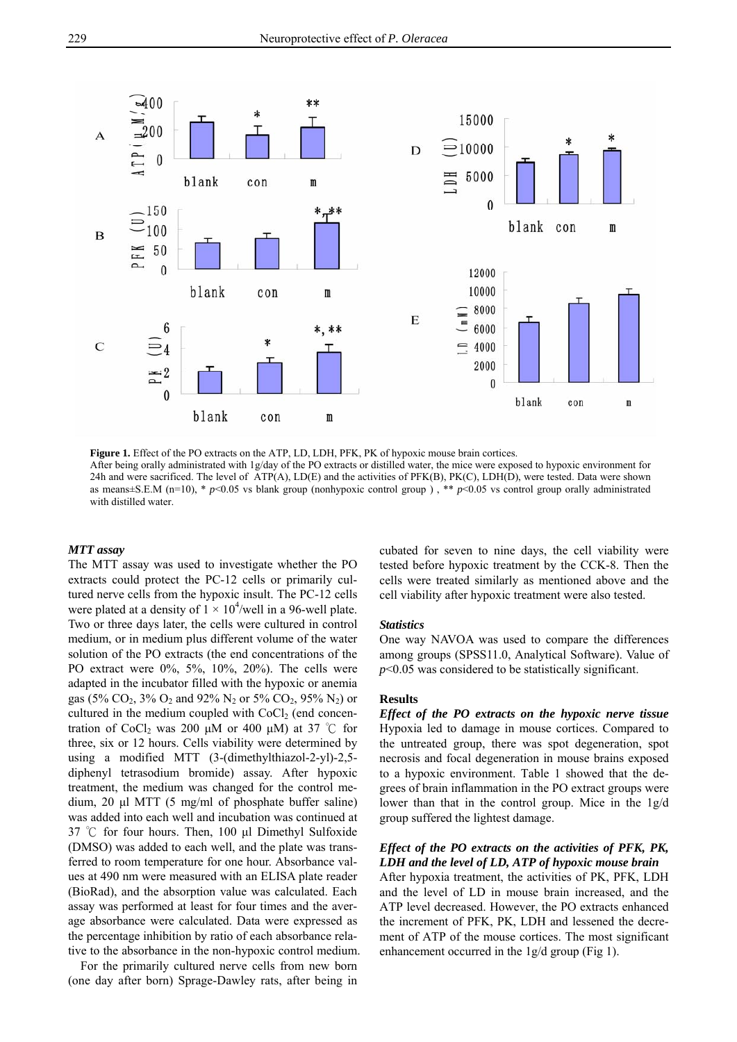

Figure 1. Effect of the PO extracts on the ATP, LD, LDH, PFK, PK of hypoxic mouse brain cortices. After being orally administrated with 1g/day of the PO extracts or distilled water, the mice were exposed to hypoxic environment for 24h and were sacrificed. The level of ATP(A), LD(E) and the activities of PFK(B), PK(C), LDH(D), were tested. Data were shown as means $\pm$ S.E.M (n=10), \* *p*<0.05 vs blank group (nonhypoxic control group), \*\* *p*<0.05 vs control group orally administrated with distilled water.

# *MTT assay*

The MTT assay was used to investigate whether the PO extracts could protect the PC-12 cells or primarily cultured nerve cells from the hypoxic insult. The PC-12 cells were plated at a density of  $1 \times 10^4$ /well in a 96-well plate. Two or three days later, the cells were cultured in control medium, or in medium plus different volume of the water solution of the PO extracts (the end concentrations of the PO extract were 0%, 5%, 10%, 20%). The cells were adapted in the incubator filled with the hypoxic or anemia gas (5% CO<sub>2</sub>, 3% O<sub>2</sub> and 92% N<sub>2</sub> or 5% CO<sub>2</sub>, 95% N<sub>2</sub>) or cultured in the medium coupled with  $CoCl<sub>2</sub>$  (end concentration of CoCl<sub>2</sub> was 200 μM or 400 μM) at 37 °C for three, six or 12 hours. Cells viability were determined by using a modified MTT (3-(dimethylthiazol-2-yl)-2,5 diphenyl tetrasodium bromide) assay. After hypoxic treatment, the medium was changed for the control medium, 20 μl MTT (5 mg/ml of phosphate buffer saline) was added into each well and incubation was continued at 37 ℃ for four hours. Then, 100 μl Dimethyl Sulfoxide (DMSO) was added to each well, and the plate was transferred to room temperature for one hour. Absorbance values at 490 nm were measured with an ELISA plate reader (BioRad), and the absorption value was calculated. Each assay was performed at least for four times and the average absorbance were calculated. Data were expressed as the percentage inhibition by ratio of each absorbance relative to the absorbance in the non-hypoxic control medium.

For the primarily cultured nerve cells from new born (one day after born) Sprage-Dawley rats, after being in

cubated for seven to nine days, the cell viability were tested before hypoxic treatment by the CCK-8. Then the cells were treated similarly as mentioned above and the cell viability after hypoxic treatment were also tested.

#### *Statistics*

One way NAVOA was used to compare the differences among groups (SPSS11.0, Analytical Software). Value of *p*<0.05 was considered to be statistically significant.

#### **Results**

*Effect of the PO extracts on the hypoxic nerve tissue* Hypoxia led to damage in mouse cortices. Compared to the untreated group, there was spot degeneration, spot necrosis and focal degeneration in mouse brains exposed to a hypoxic environment. Table 1 showed that the degrees of brain inflammation in the PO extract groups were lower than that in the control group. Mice in the 1g/d group suffered the lightest damage.

# *Effect of the PO extracts on the activities of PFK, PK, LDH and the level of LD, ATP of hypoxic mouse brain*

After hypoxia treatment, the activities of PK, PFK, LDH and the level of LD in mouse brain increased, and the ATP level decreased. However, the PO extracts enhanced the increment of PFK, PK, LDH and lessened the decrement of ATP of the mouse cortices. The most significant enhancement occurred in the 1g/d group (Fig 1).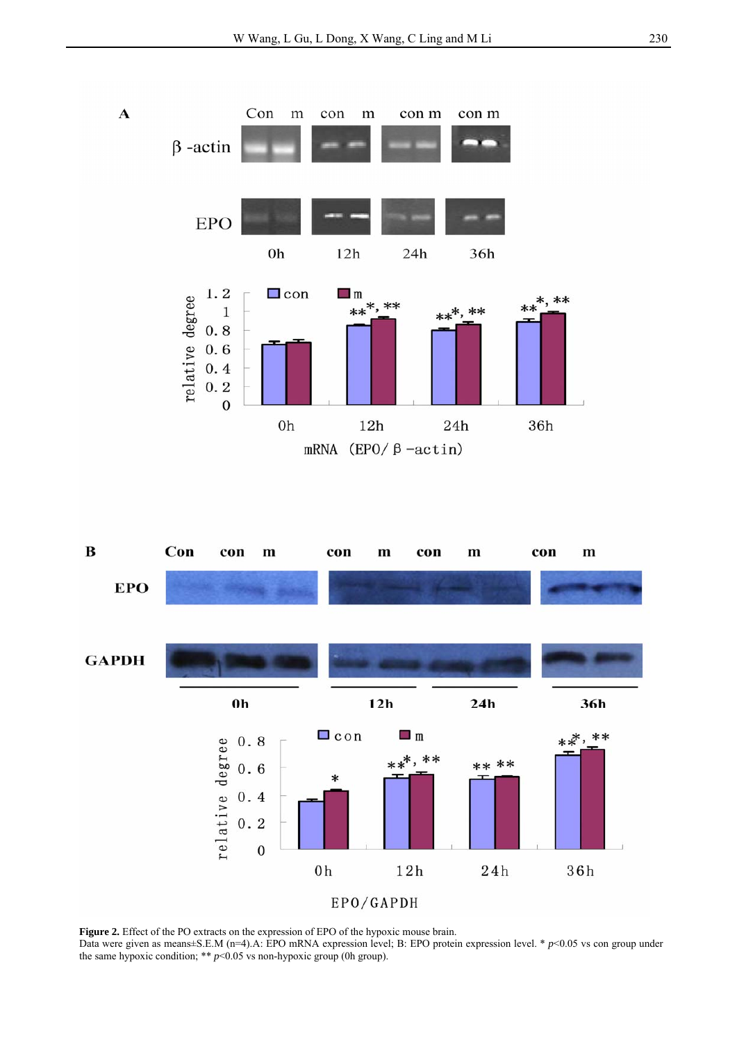



Figure 2. Effect of the PO extracts on the expression of EPO of the hypoxic mouse brain.

Data were given as means±S.E.M (n=4).A: EPO mRNA expression level; B: EPO protein expression level. \* *p*<0.05 vs con group under the same hypoxic condition; \*\*  $p$ <0.05 vs non-hypoxic group (0h group).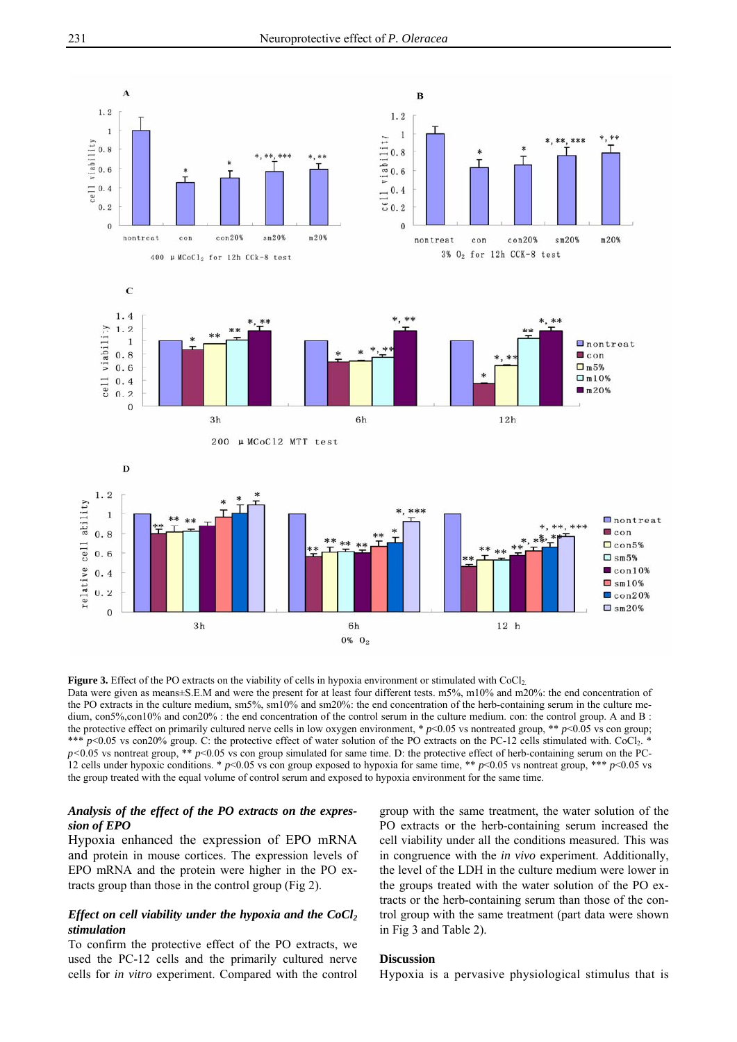

**Figure 3.** Effect of the PO extracts on the viability of cells in hypoxia environment or stimulated with CoCl<sub>2</sub>. Data were given as means±S.E.M and were the present for at least four different tests. m5%, m10% and m20%: the end concentration of the PO extracts in the culture medium, sm5%, sm10% and sm20%: the end concentration of the herb-containing serum in the culture medium, con5%,con10% and con20% : the end concentration of the control serum in the culture medium. con: the control group. A and B : the protective effect on primarily cultured nerve cells in low oxygen environment,  $p<0.05$  vs nontreated group,  $* p<0.05$  vs con group; \*\*\* *p*<0.05 vs con20% group. C: the protective effect of water solution of the PO extracts on the PC-12 cells stimulated with. CoCl2.  $p$ <0.05 vs nontreat group, \*\*  $p$ <0.05 vs con group simulated for same time. D: the protective effect of herb-containing serum on the PC-12 cells under hypoxic conditions. \*  $p<0.05$  vs con group exposed to hypoxia for same time, \*\*  $p<0.05$  vs nontreat group, \*\*\*  $p<0.05$  vs the group treated with the equal volume of control serum and exposed to hypoxia environment for the same time.

# *Analysis of the effect of the PO extracts on the expression of EPO*

Hypoxia enhanced the expression of EPO mRNA and protein in mouse cortices. The expression levels of EPO mRNA and the protein were higher in the PO extracts group than those in the control group (Fig 2).

# *Effect on cell viability under the hypoxia and the CoCl<sub>2</sub> stimulation*

To confirm the protective effect of the PO extracts, we used the PC-12 cells and the primarily cultured nerve cells for *in vitro* experiment. Compared with the control

group with the same treatment, the water solution of the PO extracts or the herb-containing serum increased the cell viability under all the conditions measured. This was in congruence with the *in vivo* experiment. Additionally, the level of the LDH in the culture medium were lower in the groups treated with the water solution of the PO extracts or the herb-containing serum than those of the control group with the same treatment (part data were shown in Fig 3 and Table 2).

## **Discussion**

Hypoxia is a pervasive physiological stimulus that is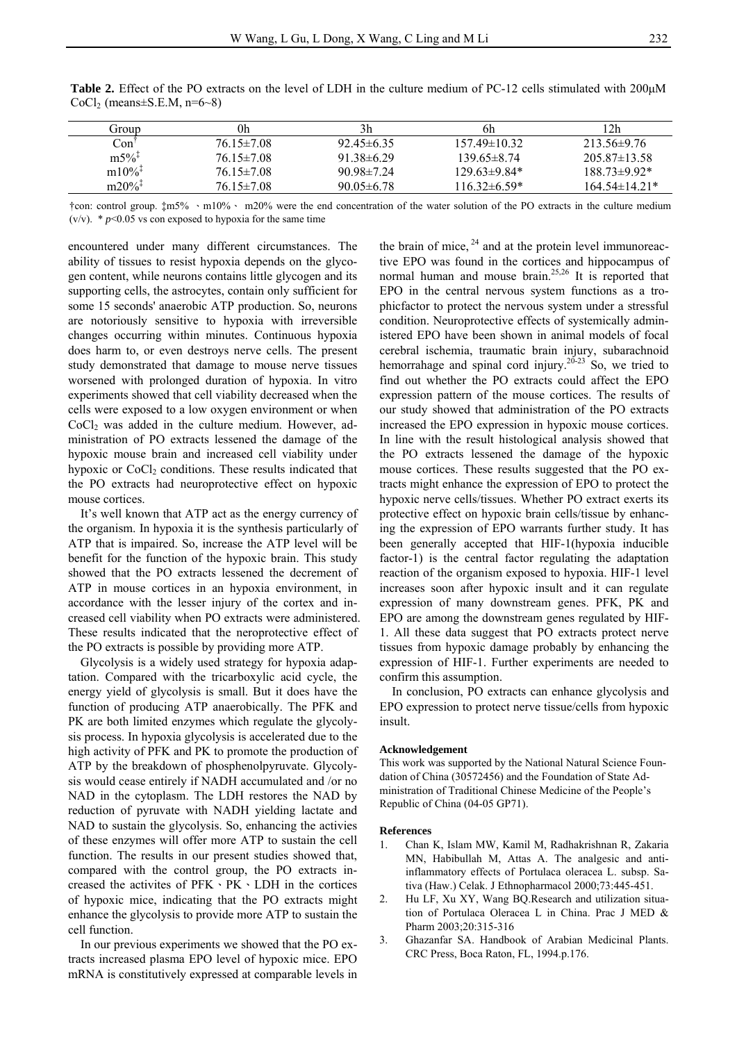| Group                | 0h               | 3h               | 6h                | 2h                 |
|----------------------|------------------|------------------|-------------------|--------------------|
| Con                  | $76.15 \pm 7.08$ | $92.45\pm 6.35$  | $157.49\pm10.32$  | $213.56 \pm 9.76$  |
| $m5\%$ <sup>‡</sup>  | $76.15 \pm 7.08$ | $91.38\pm 6.29$  | $13965\pm874$     | $205.87 \pm 13.58$ |
| $m10\%$ <sup>1</sup> | $76.15 \pm 7.08$ | $90.98 \pm 7.24$ | $129.63\pm9.84*$  | $18873\pm992*$     |
| $m20\%$ <sup>1</sup> | $76.15 \pm 7.08$ | $90.05 \pm 6.78$ | $116.32\pm 6.59*$ | $164.54\pm14.21*$  |

**Table 2.** Effect of the PO extracts on the level of LDH in the culture medium of PC-12 cells stimulated with 200μM CoCl<sub>2</sub> (means $\pm$ S.E.M, n=6~8)

†con: control group. ‡m5% 、m10%、 m20% were the end concentration of the water solution of the PO extracts in the culture medium (v/v).  $* p<0.05$  vs con exposed to hypoxia for the same time

encountered under many different circumstances. The ability of tissues to resist hypoxia depends on the glycogen content, while neurons contains little glycogen and its supporting cells, the astrocytes, contain only sufficient for some 15 seconds' anaerobic ATP production. So, neurons are notoriously sensitive to hypoxia with irreversible changes occurring within minutes. Continuous hypoxia does harm to, or even destroys nerve cells. The present study demonstrated that damage to mouse nerve tissues worsened with prolonged duration of hypoxia. In vitro experiments showed that cell viability decreased when the cells were exposed to a low oxygen environment or when CoCl<sub>2</sub> was added in the culture medium. However, administration of PO extracts lessened the damage of the hypoxic mouse brain and increased cell viability under hypoxic or  $CoCl<sub>2</sub>$  conditions. These results indicated that the PO extracts had neuroprotective effect on hypoxic mouse cortices.

It's well known that ATP act as the energy currency of the organism. In hypoxia it is the synthesis particularly of ATP that is impaired. So, increase the ATP level will be benefit for the function of the hypoxic brain. This study showed that the PO extracts lessened the decrement of ATP in mouse cortices in an hypoxia environment, in accordance with the lesser injury of the cortex and increased cell viability when PO extracts were administered. These results indicated that the neroprotective effect of the PO extracts is possible by providing more ATP.

Glycolysis is a widely used strategy for hypoxia adaptation. Compared with the tricarboxylic acid cycle, the energy yield of glycolysis is small. But it does have the function of producing ATP anaerobically. The PFK and PK are both limited enzymes which regulate the glycolysis process. In hypoxia glycolysis is accelerated due to the high activity of PFK and PK to promote the production of ATP by the breakdown of phosphenolpyruvate. Glycolysis would cease entirely if NADH accumulated and /or no NAD in the cytoplasm. The LDH restores the NAD by reduction of pyruvate with NADH yielding lactate and NAD to sustain the glycolysis. So, enhancing the activies of these enzymes will offer more ATP to sustain the cell function. The results in our present studies showed that, compared with the control group, the PO extracts increased the activites of PFK、PK、LDH in the cortices of hypoxic mice, indicating that the PO extracts might enhance the glycolysis to provide more ATP to sustain the cell function.

In our previous experiments we showed that the PO extracts increased plasma EPO level of hypoxic mice. EPO mRNA is constitutively expressed at comparable levels in

the brain of mice,  $^{24}$  and at the protein level immunoreactive EPO was found in the cortices and hippocampus of normal human and mouse brain.<sup>25,26</sup> It is reported that EPO in the central nervous system functions as a trophicfactor to protect the nervous system under a stressful condition. Neuroprotective effects of systemically administered EPO have been shown in animal models of focal cerebral ischemia, traumatic brain injury, subarachnoid hemorrahage and spinal cord injury.<sup>20-23</sup> So, we tried to find out whether the PO extracts could affect the EPO expression pattern of the mouse cortices. The results of our study showed that administration of the PO extracts increased the EPO expression in hypoxic mouse cortices. In line with the result histological analysis showed that the PO extracts lessened the damage of the hypoxic mouse cortices. These results suggested that the PO extracts might enhance the expression of EPO to protect the hypoxic nerve cells/tissues. Whether PO extract exerts its protective effect on hypoxic brain cells/tissue by enhancing the expression of EPO warrants further study. It has been generally accepted that HIF-1(hypoxia inducible factor-1) is the central factor regulating the adaptation reaction of the organism exposed to hypoxia. HIF-1 level increases soon after hypoxic insult and it can regulate expression of many downstream genes. PFK, PK and EPO are among the downstream genes regulated by HIF-1. All these data suggest that PO extracts protect nerve tissues from hypoxic damage probably by enhancing the expression of HIF-1. Further experiments are needed to confirm this assumption.

In conclusion, PO extracts can enhance glycolysis and EPO expression to protect nerve tissue/cells from hypoxic insult.

#### **Acknowledgement**

This work was supported by the National Natural Science Foundation of China (30572456) and the Foundation of State Administration of Traditional Chinese Medicine of the People's Republic of China (04-05 GP71).

#### **References**

- 1. Chan K, Islam MW, Kamil M, Radhakrishnan R, Zakaria MN, Habibullah M, Attas A. The analgesic and antiinflammatory effects of Portulaca oleracea L. subsp. Sativa (Haw.) Celak. J Ethnopharmacol 2000;73:445-451.
- 2. Hu LF, Xu XY, Wang BQ.Research and utilization situation of Portulaca Oleracea L in China. Prac J MED & Pharm 2003;20:315-316
- 3. Ghazanfar SA. Handbook of Arabian Medicinal Plants. CRC Press, Boca Raton, FL, 1994.p.176.